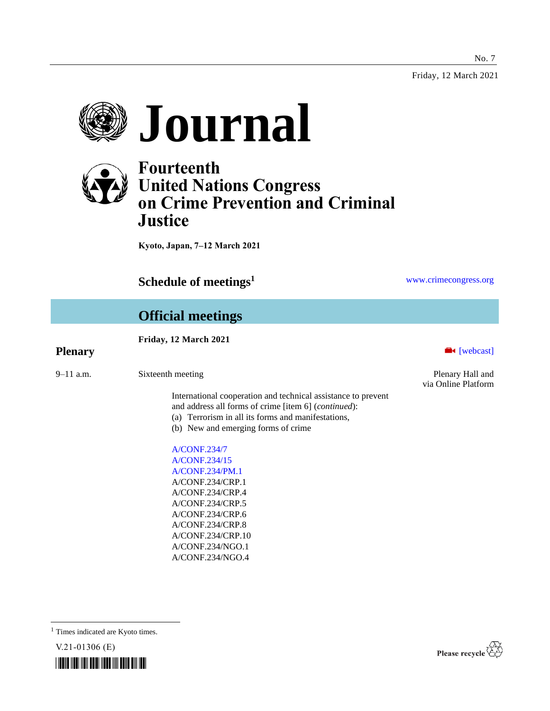Friday, 12 March 2021

No. 7





# **Fourteenth United Nations Congress on Crime Prevention and Criminal Justice**

**Kyoto, Japan, 7–12 March 2021**

**Schedule of meetings<sup>1</sup>** [www.crimecongress.org](http://www.crimecongress.org/)

# **Official meetings**

#### **Friday, 12 March 2021**

| $9 - 11$ a.m. | Sixteenth meetin |  |
|---------------|------------------|--|
|               |                  |  |

International cooperation and technical assistance to prevent and address all forms of crime [item 6] (*continued*):

- (a) Terrorism in all its forms and manifestations,
- (b) New and emerging forms of crime

[A/CONF.234/7](http://undocs.org/A/CONF.234/7) [A/CONF.234/15](http://undocs.org/A/CONF.234/15) [A/CONF.234/PM.1](http://undocs.org/A/CONF.234/PM.1) A/CONF.234/CRP.1 A/CONF.234/CRP.4 A/CONF.234/CRP.5 A/CONF.234/CRP.6 A/CONF.234/CRP.8 A/CONF.234/CRP.10 A/CONF.234/NGO.1 A/CONF.234/NGO.4

**Plenary Exercise Exercise Exercise Exercise Exercise Exercise Exercise Exercise Exercise Exercise Exercise Exercise Exercise Exercise Exercise Exercise Exercise Exercise Exercise Exercise Exercise Exercise Exercise Exer** 

example are the extension of the Plenary Hall and Plenary Hall and via Online Platform

<sup>1</sup> Times indicated are Kyoto times.



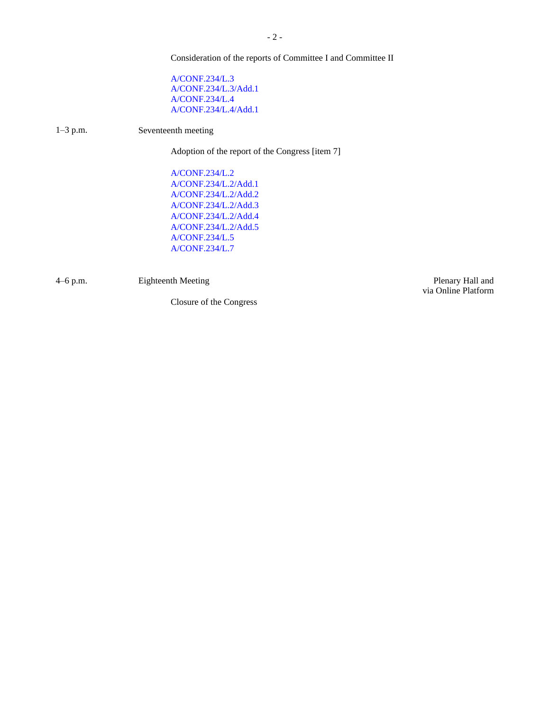Consideration of the reports of Committee I and Committee II

[A/CONF.234/L.3](http://undocs.org/A/CONF.234/L.3) [A/CONF.234/L.3/Add.1](http://undocs.org/A/CONF.234/L.3/Add.1) [A/CONF.234/L.4](http://undocs.org/A/CONF.234/L.4) [A/CONF.234/L.4/Add.1](http://undocs.org/A/CONF.234/L.4/Add.1)

1–3 p.m. Seventeenth meeting

Adoption of the report of the Congress [item 7]

[A/CONF.234/L.2](http://undocs.org/A/CONF.234/L.2) [A/CONF.234/L.2/Add.1](http://undocs.org/A/CONF.234/L.2/Add.1) [A/CONF.234/L.2/Add.2](http://undocs.org/A/CONF.234/L.2/Add.2) [A/CONF.234/L.2/Add.3](http://undocs.org/A/CONF.234/L.2/Add.3) [A/CONF.234/L.2/Add.4](http://undocs.org/A/CONF.234/L.2/Add.4) [A/CONF.234/L.2/Add.5](http://undocs.org/A/CONF.234/L.2/Add.5) [A/CONF.234/L.5](http://undocs.org/A/CONF.234/L.5) [A/CONF.234/L.7](http://undocs.org/A/CONF.234/L.7)

4–6 p.m. **Eighteenth Meeting Plenary Hall and** 

Closure of the Congress

via Online Platform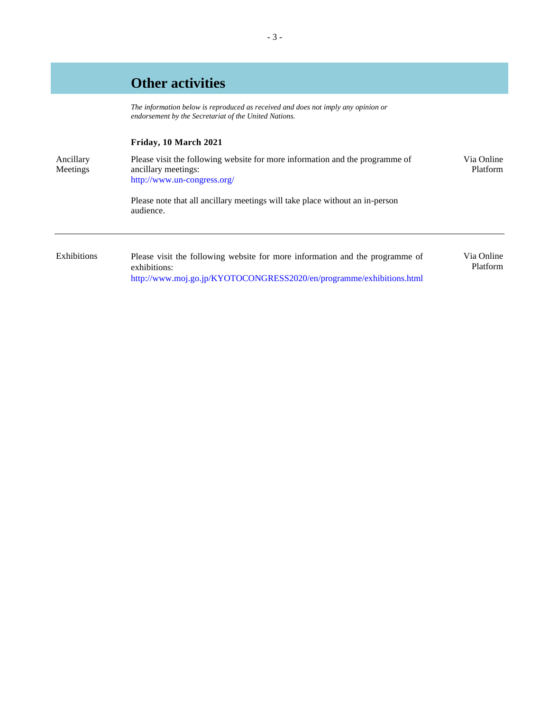### **Other activities**

*The information below is reproduced as received and does not imply any opinion or endorsement by the Secretariat of the United Nations.* 

#### **Friday, 10 March 2021**

| Ancillary<br>Meetings | Please visit the following website for more information and the programme of<br>ancillary meetings:<br>http://www.un-congress.org/ | Via Online<br>Platform |
|-----------------------|------------------------------------------------------------------------------------------------------------------------------------|------------------------|
|                       | Please note that all ancillary meetings will take place without an in-person<br>audience.                                          |                        |
|                       |                                                                                                                                    |                        |

Exhibitions Please visit the following website for more information and the programme of exhibitions: <http://www.moj.go.jp/KYOTOCONGRESS2020/en/programme/exhibitions.html> Via Online Platform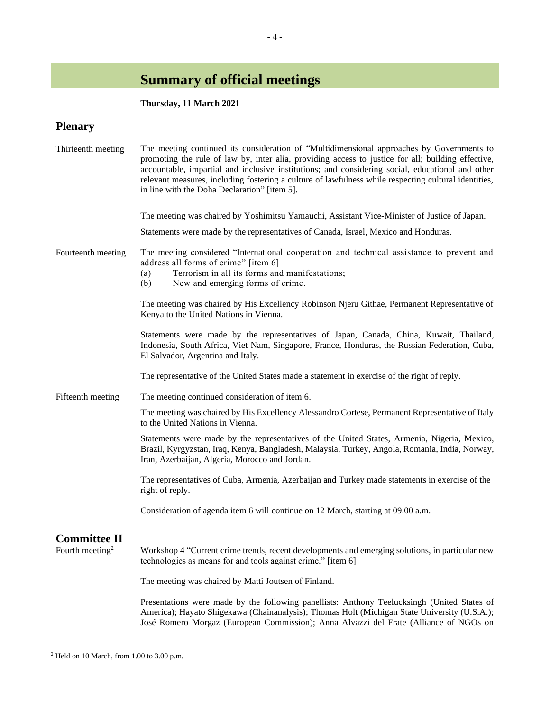# **Summary of official meetings**

#### **Thursday, 11 March 2021**

#### **Plenary**

| Thirteenth meeting          | The meeting continued its consideration of "Multidimensional approaches by Governments to<br>promoting the rule of law by, inter alia, providing access to justice for all; building effective,<br>accountable, impartial and inclusive institutions; and considering social, educational and other<br>relevant measures, including fostering a culture of lawfulness while respecting cultural identities,<br>in line with the Doha Declaration" [item 5]. |
|-----------------------------|-------------------------------------------------------------------------------------------------------------------------------------------------------------------------------------------------------------------------------------------------------------------------------------------------------------------------------------------------------------------------------------------------------------------------------------------------------------|
|                             | The meeting was chaired by Yoshimitsu Yamauchi, Assistant Vice-Minister of Justice of Japan.                                                                                                                                                                                                                                                                                                                                                                |
|                             | Statements were made by the representatives of Canada, Israel, Mexico and Honduras.                                                                                                                                                                                                                                                                                                                                                                         |
| Fourteenth meeting          | The meeting considered "International cooperation and technical assistance to prevent and<br>address all forms of crime" [item 6]<br>Terrorism in all its forms and manifestations;<br>(a)<br>New and emerging forms of crime.<br>(b)                                                                                                                                                                                                                       |
|                             | The meeting was chaired by His Excellency Robinson Njeru Githae, Permanent Representative of<br>Kenya to the United Nations in Vienna.                                                                                                                                                                                                                                                                                                                      |
|                             | Statements were made by the representatives of Japan, Canada, China, Kuwait, Thailand,<br>Indonesia, South Africa, Viet Nam, Singapore, France, Honduras, the Russian Federation, Cuba,<br>El Salvador, Argentina and Italy.                                                                                                                                                                                                                                |
|                             | The representative of the United States made a statement in exercise of the right of reply.                                                                                                                                                                                                                                                                                                                                                                 |
| Fifteenth meeting           | The meeting continued consideration of item 6.                                                                                                                                                                                                                                                                                                                                                                                                              |
|                             | The meeting was chaired by His Excellency Alessandro Cortese, Permanent Representative of Italy<br>to the United Nations in Vienna.                                                                                                                                                                                                                                                                                                                         |
|                             | Statements were made by the representatives of the United States, Armenia, Nigeria, Mexico,<br>Brazil, Kyrgyzstan, Iraq, Kenya, Bangladesh, Malaysia, Turkey, Angola, Romania, India, Norway,<br>Iran, Azerbaijan, Algeria, Morocco and Jordan.                                                                                                                                                                                                             |
|                             | The representatives of Cuba, Armenia, Azerbaijan and Turkey made statements in exercise of the<br>right of reply.                                                                                                                                                                                                                                                                                                                                           |
|                             | Consideration of agenda item 6 will continue on 12 March, starting at 09.00 a.m.                                                                                                                                                                                                                                                                                                                                                                            |
| <b>Committee II</b>         |                                                                                                                                                                                                                                                                                                                                                                                                                                                             |
| Fourth meeting <sup>2</sup> | Workshop 4 "Current crime trends, recent developments and emerging solutions, in particular new<br>technologies as means for and tools against crime." [item 6]                                                                                                                                                                                                                                                                                             |
|                             | The meeting was chaired by Matti Joutsen of Finland.                                                                                                                                                                                                                                                                                                                                                                                                        |
|                             | Presentations were made by the following panellists: Anthony Teelucksingh (United States of<br>America); Hayato Shigekawa (Chainanalysis); Thomas Holt (Michigan State University (U.S.A.);<br>José Romero Morgaz (European Commission); Anna Alvazzi del Frate (Alliance of NGOs on                                                                                                                                                                        |

<sup>2</sup> Held on 10 March, from 1.00 to 3.00 p.m.